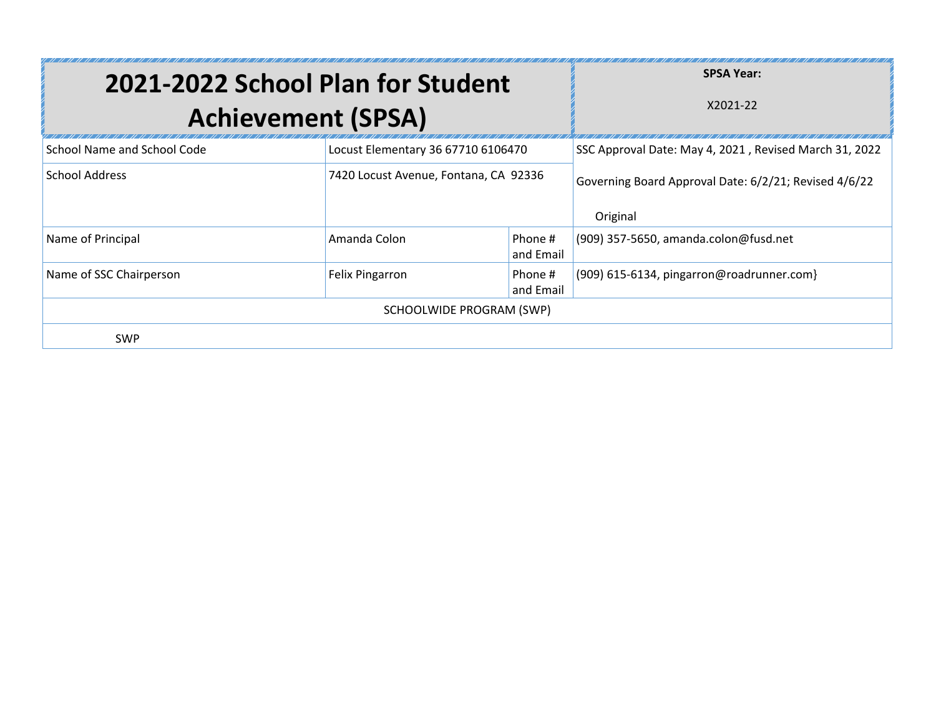|                             | 2021-2022 School Plan for Student<br><b>Achievement (SPSA)</b>                              |                          | <b>SPSA Year:</b><br>X2021-22                                     |
|-----------------------------|---------------------------------------------------------------------------------------------|--------------------------|-------------------------------------------------------------------|
| School Name and School Code | Locust Elementary 36 67710 6106470                                                          |                          | SSC Approval Date: May 4, 2021, Revised March 31, 2022            |
| <b>School Address</b>       | 7420 Locust Avenue, Fontana, CA 92336                                                       |                          | Governing Board Approval Date: 6/2/21; Revised 4/6/22<br>Original |
| Name of Principal           | Amanda Colon                                                                                | Phone #<br>and Email     | (909) 357-5650, amanda.colon@fusd.net                             |
| Name of SSC Chairperson     | (909) 615-6134, pingarron@roadrunner.com}<br><b>Felix Pingarron</b><br>Phone #<br>and Email |                          |                                                                   |
|                             |                                                                                             | SCHOOLWIDE PROGRAM (SWP) |                                                                   |
| <b>SWP</b>                  |                                                                                             |                          |                                                                   |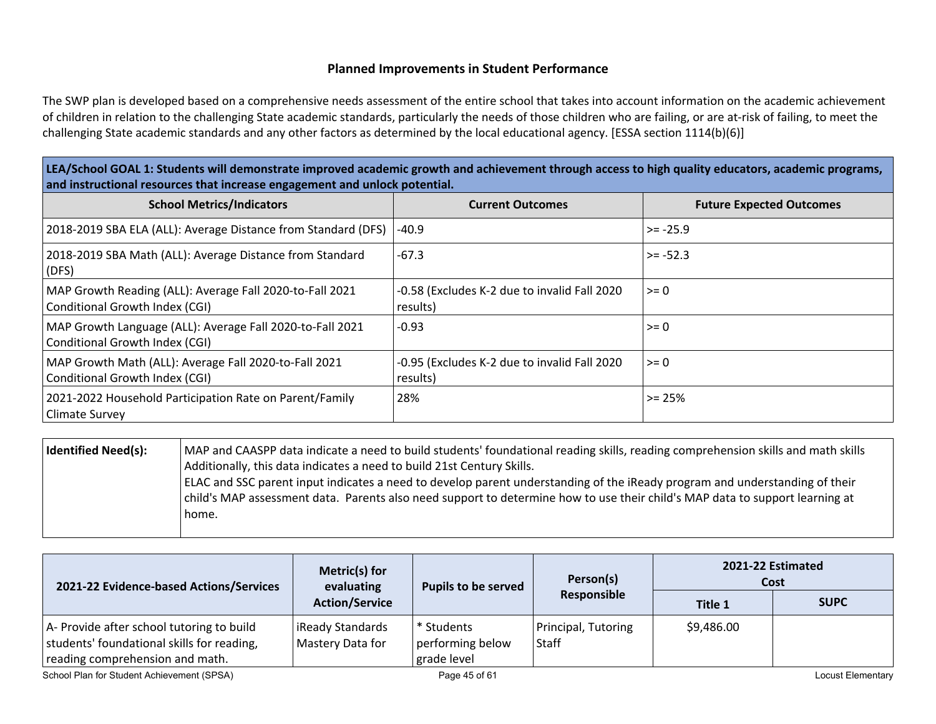### **Planned Improvements in Student Performance**

The SWP plan is developed based on a comprehensive needs assessment of the entire school that takes into account information on the academic achievement of children in relation to the challenging State academic standards, particularly the needs of those children who are failing, or are at-risk of failing, to meet the challenging State academic standards and any other factors as determined by the local educational agency. [ESSA section 1114(b)(6)]

LEA/School GOAL 1: Students will demonstrate improved academic growth and achievement through access to high quality educators, academic programs, **and instructional resources that increase engagement and unlock potential.**

| <b>School Metrics/Indicators</b>                                                            | <b>Current Outcomes</b>                                  | <b>Future Expected Outcomes</b> |
|---------------------------------------------------------------------------------------------|----------------------------------------------------------|---------------------------------|
| 2018-2019 SBA ELA (ALL): Average Distance from Standard (DFS)                               | $-40.9$                                                  | $>= -25.9$                      |
| 2018-2019 SBA Math (ALL): Average Distance from Standard<br>(DFS)                           | $-67.3$                                                  | $>= -52.3$                      |
| MAP Growth Reading (ALL): Average Fall 2020-to-Fall 2021<br>Conditional Growth Index (CGI)  | -0.58 (Excludes K-2 due to invalid Fall 2020<br>results) | $>= 0$                          |
| MAP Growth Language (ALL): Average Fall 2020-to-Fall 2021<br>Conditional Growth Index (CGI) | $-0.93$                                                  | $>= 0$                          |
| MAP Growth Math (ALL): Average Fall 2020-to-Fall 2021<br>Conditional Growth Index (CGI)     | -0.95 (Excludes K-2 due to invalid Fall 2020<br>results) | $>= 0$                          |
| 2021-2022 Household Participation Rate on Parent/Family<br>Climate Survey                   | 28%                                                      | $>= 25%$                        |

| Identified Need(s): | MAP and CAASPP data indicate a need to build students' foundational reading skills, reading comprehension skills and math skills<br>Additionally, this data indicates a need to build 21st Century Skills.                                                  |
|---------------------|-------------------------------------------------------------------------------------------------------------------------------------------------------------------------------------------------------------------------------------------------------------|
|                     | ELAC and SSC parent input indicates a need to develop parent understanding of the iReady program and understanding of their<br>child's MAP assessment data. Parents also need support to determine how to use their child's MAP data to support learning at |
|                     | home.                                                                                                                                                                                                                                                       |

| 2021-22 Evidence-based Actions/Services                                                                                    | Metric(s) for<br>evaluating<br><b>Pupils to be served</b><br><b>Action/Service</b> | Person(s)                                                | 2021-22 Estimated<br>Cost    |                |                   |
|----------------------------------------------------------------------------------------------------------------------------|------------------------------------------------------------------------------------|----------------------------------------------------------|------------------------------|----------------|-------------------|
|                                                                                                                            |                                                                                    |                                                          | Responsible                  | <b>Title 1</b> | <b>SUPC</b>       |
| A- Provide after school tutoring to build<br>students' foundational skills for reading,<br>reading comprehension and math. | iReady Standards<br>Mastery Data for                                               | <sup>*</sup> Students<br>performing below<br>grade level | Principal, Tutoring<br>Staff | \$9,486.00     |                   |
| School Plan for Student Achievement (SPSA)                                                                                 |                                                                                    | Page 45 of 61                                            |                              |                | Locust Elementary |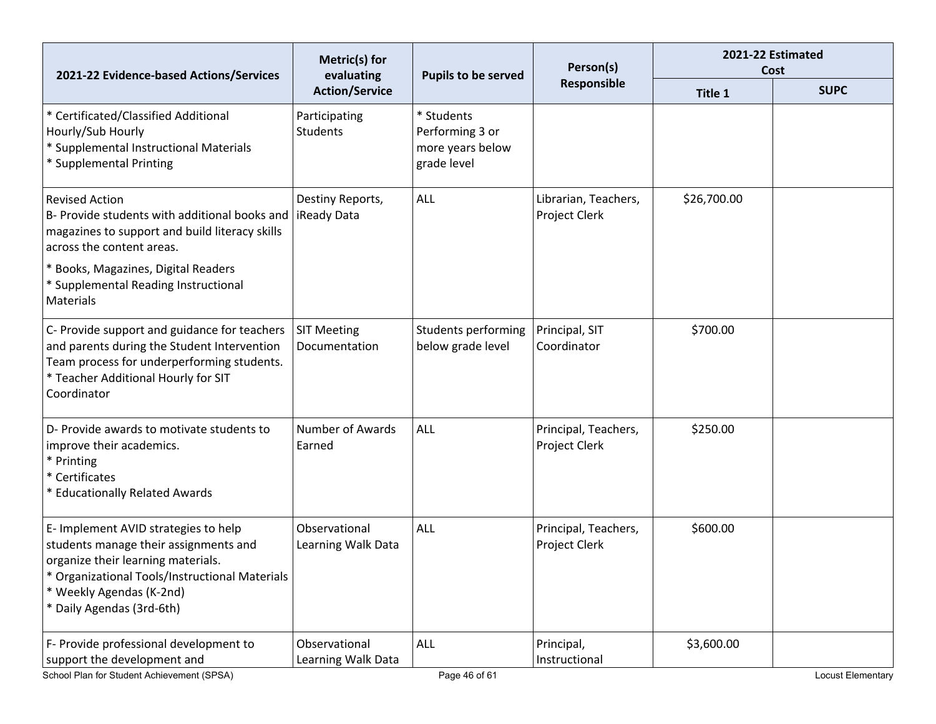| 2021-22 Evidence-based Actions/Services                                                                                                                                                                                      | Metric(s) for<br>evaluating         | <b>Pupils to be served</b>                                       | Person(s)                             | 2021-22 Estimated<br>Cost |                   |
|------------------------------------------------------------------------------------------------------------------------------------------------------------------------------------------------------------------------------|-------------------------------------|------------------------------------------------------------------|---------------------------------------|---------------------------|-------------------|
|                                                                                                                                                                                                                              | <b>Action/Service</b>               |                                                                  | Responsible                           | Title 1                   | <b>SUPC</b>       |
| * Certificated/Classified Additional<br>Hourly/Sub Hourly<br>* Supplemental Instructional Materials<br>* Supplemental Printing                                                                                               | Participating<br><b>Students</b>    | * Students<br>Performing 3 or<br>more years below<br>grade level |                                       |                           |                   |
| <b>Revised Action</b><br>B- Provide students with additional books and<br>magazines to support and build literacy skills<br>across the content areas.                                                                        | Destiny Reports,<br>iReady Data     | ALL                                                              | Librarian, Teachers,<br>Project Clerk | \$26,700.00               |                   |
| * Books, Magazines, Digital Readers<br>* Supplemental Reading Instructional<br><b>Materials</b>                                                                                                                              |                                     |                                                                  |                                       |                           |                   |
| C- Provide support and guidance for teachers<br>and parents during the Student Intervention<br>Team process for underperforming students.<br>* Teacher Additional Hourly for SIT<br>Coordinator                              | <b>SIT Meeting</b><br>Documentation | Students performing<br>below grade level                         | Principal, SIT<br>Coordinator         | \$700.00                  |                   |
| D- Provide awards to motivate students to<br>improve their academics.<br>* Printing<br>* Certificates<br>* Educationally Related Awards                                                                                      | <b>Number of Awards</b><br>Earned   | ALL                                                              | Principal, Teachers,<br>Project Clerk | \$250.00                  |                   |
| E- Implement AVID strategies to help<br>students manage their assignments and<br>organize their learning materials.<br>Organizational Tools/Instructional Materials<br>* Weekly Agendas (K-2nd)<br>* Daily Agendas (3rd-6th) | Observational<br>Learning Walk Data | <b>ALL</b>                                                       | Principal, Teachers,<br>Project Clerk | \$600.00                  |                   |
| F- Provide professional development to<br>support the development and<br>School Plan for Student Achievement (SPSA)                                                                                                          | Observational<br>Learning Walk Data | ALL<br>Page 46 of 61                                             | Principal,<br>Instructional           | \$3,600.00                | Locust Elementary |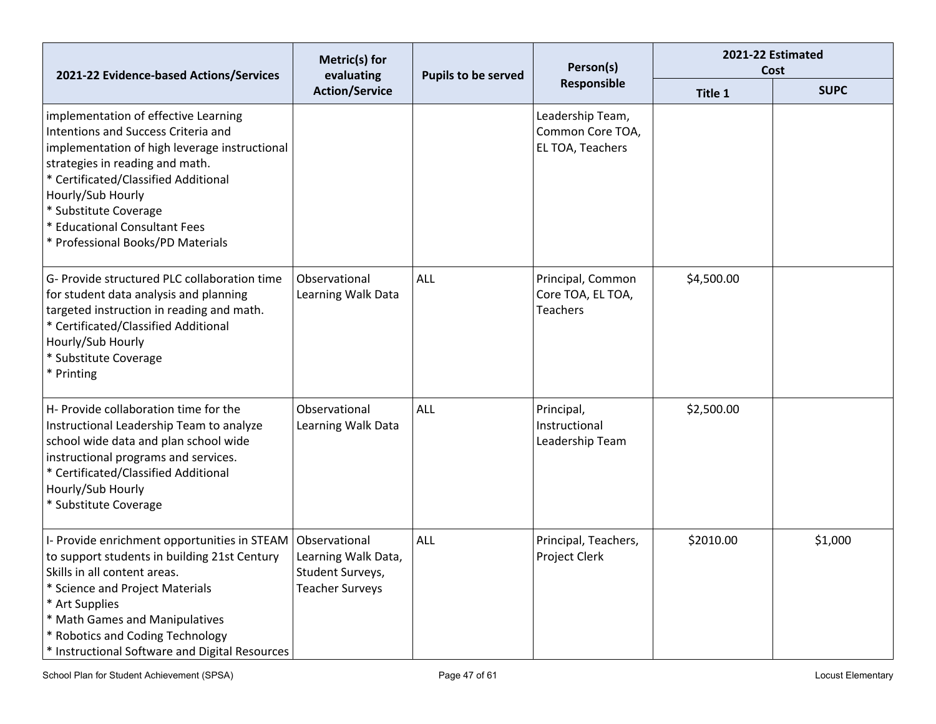| 2021-22 Evidence-based Actions/Services                                                                                                                                                                                                                                                                                     | Metric(s) for<br>evaluating                                                        | <b>Pupils to be served</b> | Person(s)<br>Responsible                                  | 2021-22 Estimated<br>Cost |             |
|-----------------------------------------------------------------------------------------------------------------------------------------------------------------------------------------------------------------------------------------------------------------------------------------------------------------------------|------------------------------------------------------------------------------------|----------------------------|-----------------------------------------------------------|---------------------------|-------------|
|                                                                                                                                                                                                                                                                                                                             | <b>Action/Service</b>                                                              |                            |                                                           | Title 1                   | <b>SUPC</b> |
| implementation of effective Learning<br>Intentions and Success Criteria and<br>implementation of high leverage instructional<br>strategies in reading and math.<br>* Certificated/Classified Additional<br>Hourly/Sub Hourly<br>* Substitute Coverage<br>* Educational Consultant Fees<br>* Professional Books/PD Materials |                                                                                    |                            | Leadership Team,<br>Common Core TOA,<br>EL TOA, Teachers  |                           |             |
| G- Provide structured PLC collaboration time<br>for student data analysis and planning<br>targeted instruction in reading and math.<br>* Certificated/Classified Additional<br>Hourly/Sub Hourly<br>* Substitute Coverage<br>* Printing                                                                                     | Observational<br>Learning Walk Data                                                | ALL                        | Principal, Common<br>Core TOA, EL TOA,<br><b>Teachers</b> | \$4,500.00                |             |
| H- Provide collaboration time for the<br>Instructional Leadership Team to analyze<br>school wide data and plan school wide<br>instructional programs and services.<br>* Certificated/Classified Additional<br>Hourly/Sub Hourly<br>* Substitute Coverage                                                                    | Observational<br>Learning Walk Data                                                | <b>ALL</b>                 | Principal,<br>Instructional<br>Leadership Team            | \$2,500.00                |             |
| I- Provide enrichment opportunities in STEAM<br>to support students in building 21st Century<br>Skills in all content areas.<br>* Science and Project Materials<br>* Art Supplies<br>* Math Games and Manipulatives<br>* Robotics and Coding Technology<br>* Instructional Software and Digital Resources                   | Observational<br>Learning Walk Data,<br>Student Surveys,<br><b>Teacher Surveys</b> | ALL                        | Principal, Teachers,<br>Project Clerk                     | \$2010.00                 | \$1,000     |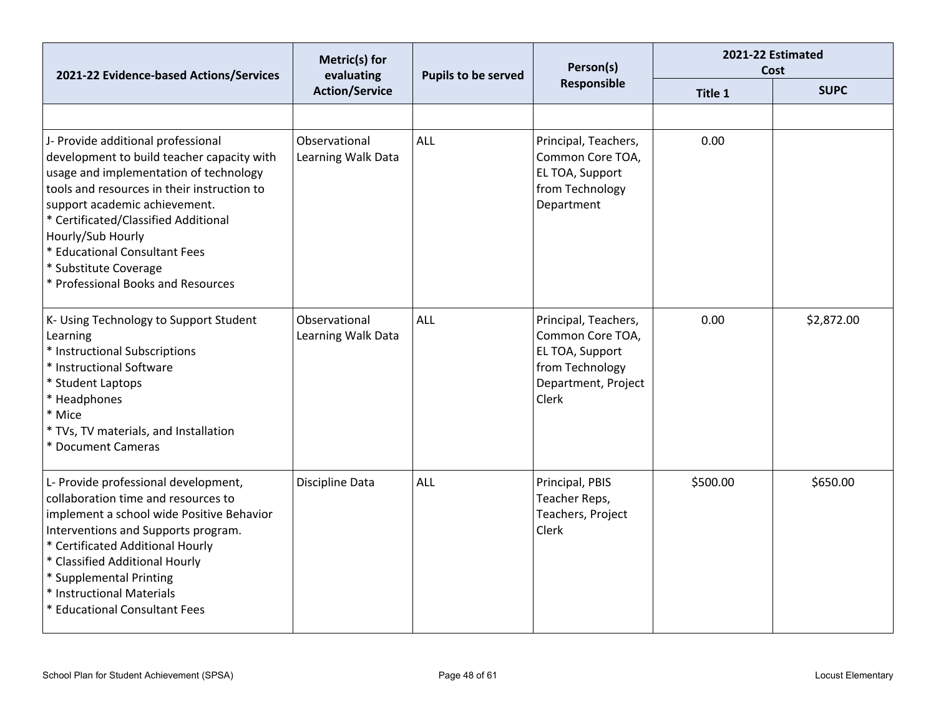| 2021-22 Evidence-based Actions/Services                                                                                                                                                                                                                                                                                                                                 | Metric(s) for<br>evaluating         | Person(s)<br>Pupils to be served | 2021-22 Estimated<br>Cost                                                                                      |          |             |
|-------------------------------------------------------------------------------------------------------------------------------------------------------------------------------------------------------------------------------------------------------------------------------------------------------------------------------------------------------------------------|-------------------------------------|----------------------------------|----------------------------------------------------------------------------------------------------------------|----------|-------------|
|                                                                                                                                                                                                                                                                                                                                                                         | <b>Action/Service</b>               |                                  | Responsible                                                                                                    | Title 1  | <b>SUPC</b> |
|                                                                                                                                                                                                                                                                                                                                                                         |                                     |                                  |                                                                                                                |          |             |
| J- Provide additional professional<br>development to build teacher capacity with<br>usage and implementation of technology<br>tools and resources in their instruction to<br>support academic achievement.<br>* Certificated/Classified Additional<br>Hourly/Sub Hourly<br>* Educational Consultant Fees<br>* Substitute Coverage<br>* Professional Books and Resources | Observational<br>Learning Walk Data | <b>ALL</b>                       | Principal, Teachers,<br>Common Core TOA,<br>EL TOA, Support<br>from Technology<br>Department                   | 0.00     |             |
| K- Using Technology to Support Student<br>Learning<br>* Instructional Subscriptions<br>* Instructional Software<br>* Student Laptops<br>* Headphones<br>* Mice<br>* TVs, TV materials, and Installation<br>* Document Cameras                                                                                                                                           | Observational<br>Learning Walk Data | <b>ALL</b>                       | Principal, Teachers,<br>Common Core TOA,<br>EL TOA, Support<br>from Technology<br>Department, Project<br>Clerk | 0.00     | \$2,872.00  |
| L- Provide professional development,<br>collaboration time and resources to<br>implement a school wide Positive Behavior<br>Interventions and Supports program.<br>* Certificated Additional Hourly<br>* Classified Additional Hourly<br>* Supplemental Printing<br>* Instructional Materials<br><b>Educational Consultant Fees</b>                                     | Discipline Data                     | ALL                              | Principal, PBIS<br>Teacher Reps,<br>Teachers, Project<br>Clerk                                                 | \$500.00 | \$650.00    |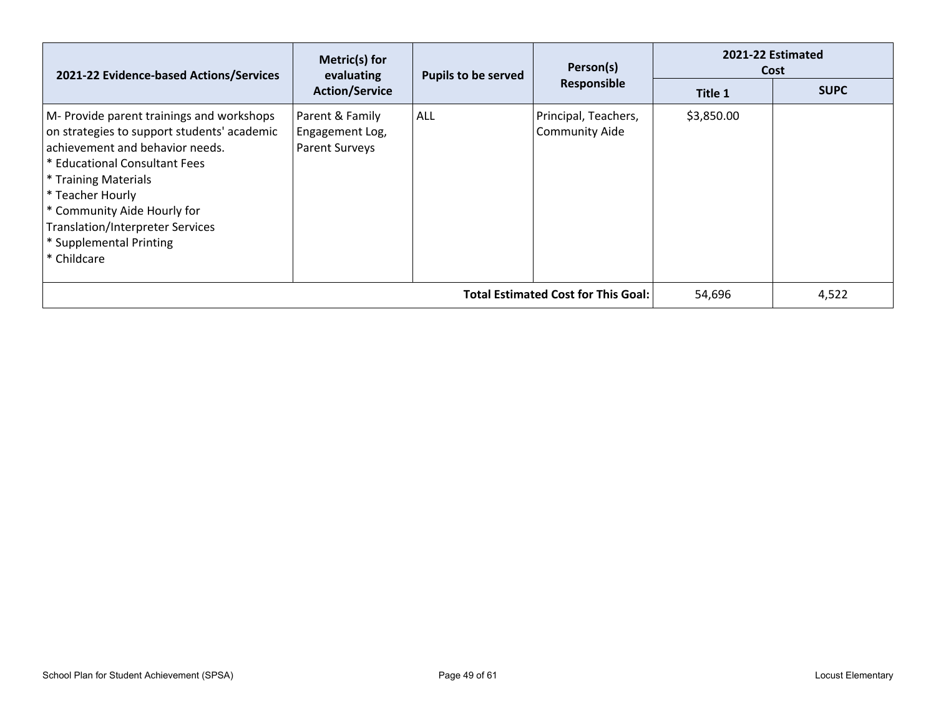| 2021-22 Evidence-based Actions/Services                                                                                                                                                                                                                                                                                      | Metric(s) for<br><b>Pupils to be served</b><br>evaluating<br><b>Action/Service</b> | Person(s)  | 2021-22 Estimated<br>Cost                     |            |             |
|------------------------------------------------------------------------------------------------------------------------------------------------------------------------------------------------------------------------------------------------------------------------------------------------------------------------------|------------------------------------------------------------------------------------|------------|-----------------------------------------------|------------|-------------|
|                                                                                                                                                                                                                                                                                                                              |                                                                                    |            | Responsible                                   | Title 1    | <b>SUPC</b> |
| M- Provide parent trainings and workshops<br>on strategies to support students' academic<br>achievement and behavior needs.<br>* Educational Consultant Fees<br>* Training Materials<br>* Teacher Hourly<br>* Community Aide Hourly for<br><b>Translation/Interpreter Services</b><br>* Supplemental Printing<br>* Childcare | Parent & Family<br>Engagement Log,<br><b>Parent Surveys</b>                        | <b>ALL</b> | Principal, Teachers,<br><b>Community Aide</b> | \$3,850.00 |             |
| <b>Total Estimated Cost for This Goal:</b>                                                                                                                                                                                                                                                                                   |                                                                                    |            |                                               | 54,696     | 4,522       |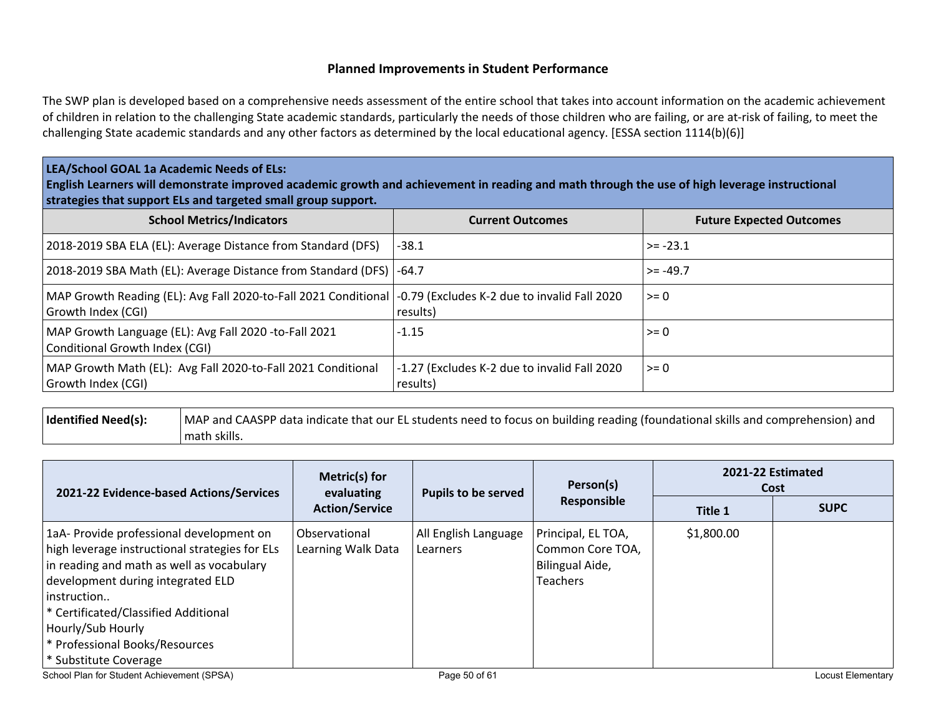#### **Planned Improvements in Student Performance**

The SWP plan is developed based on a comprehensive needs assessment of the entire school that takes into account information on the academic achievement of children in relation to the challenging State academic standards, particularly the needs of those children who are failing, or are at-risk of failing, to meet the challenging State academic standards and any other factors as determined by the local educational agency. [ESSA section 1114(b)(6)]

#### **LEA/School GOAL 1a Academic Needs of ELs:**

English Learners will demonstrate improved academic growth and achievement in reading and math through the use of high leverage instructional **strategies that support ELs and targeted small group support.**

| <b>School Metrics/Indicators</b>                                                                                                     | <b>Current Outcomes</b>                                  | <b>Future Expected Outcomes</b> |
|--------------------------------------------------------------------------------------------------------------------------------------|----------------------------------------------------------|---------------------------------|
| 2018-2019 SBA ELA (EL): Average Distance from Standard (DFS)                                                                         | $-38.1$                                                  | $>= -23.1$                      |
| 2018-2019 SBA Math (EL): Average Distance from Standard (DFS)   -64.7                                                                |                                                          | $>= -49.7$                      |
| MAP Growth Reading (EL): Avg Fall 2020-to-Fall 2021 Conditional   -0.79 (Excludes K-2 due to invalid Fall 2020<br>Growth Index (CGI) | results)                                                 | $>= 0$                          |
| MAP Growth Language (EL): Avg Fall 2020 -to-Fall 2021<br>Conditional Growth Index (CGI)                                              | $-1.15$                                                  | $>= 0$                          |
| MAP Growth Math (EL): Avg Fall 2020-to-Fall 2021 Conditional<br>Growth Index (CGI)                                                   | -1.27 (Excludes K-2 due to invalid Fall 2020<br>results) | $>= 0$                          |

| Identified Need(s): | MAP and CAASPP data indicate that our EL students need to focus on building reading (foundational skills and comprehension) and |
|---------------------|---------------------------------------------------------------------------------------------------------------------------------|
|                     | math skills.                                                                                                                    |

| 2021-22 Evidence-based Actions/Services                                                                                                                                                                                                                                                                             | Metric(s) for<br><b>Pupils to be served</b><br>evaluating<br><b>Action/Service</b> | Person(s)                        | 2021-22 Estimated<br>Cost                                                    |            |                   |
|---------------------------------------------------------------------------------------------------------------------------------------------------------------------------------------------------------------------------------------------------------------------------------------------------------------------|------------------------------------------------------------------------------------|----------------------------------|------------------------------------------------------------------------------|------------|-------------------|
|                                                                                                                                                                                                                                                                                                                     |                                                                                    |                                  | Responsible                                                                  | Title 1    | <b>SUPC</b>       |
| 1aA- Provide professional development on<br>high leverage instructional strategies for ELs<br>in reading and math as well as vocabulary<br>development during integrated ELD<br>instruction<br>* Certificated/Classified Additional<br>Hourly/Sub Hourly<br>* Professional Books/Resources<br>* Substitute Coverage | Observational<br>Learning Walk Data                                                | All English Language<br>Learners | Principal, EL TOA,<br>Common Core TOA,<br>Bilingual Aide,<br><b>Teachers</b> | \$1,800.00 |                   |
| School Plan for Student Achievement (SPSA)                                                                                                                                                                                                                                                                          |                                                                                    | Page 50 of 61                    |                                                                              |            | Locust Elementary |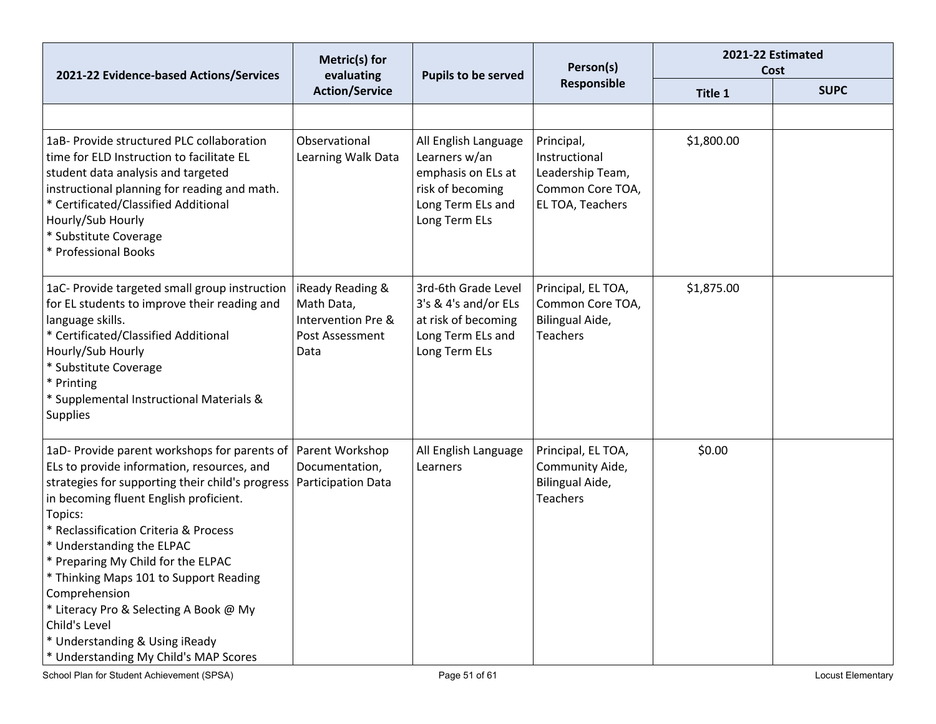| 2021-22 Evidence-based Actions/Services                                                                                                                                                                                                                                                                                                                                                                                                                                                                          | Metric(s) for<br>evaluating<br>Pupils to be served                              | Person(s)                                                                                                             | 2021-22 Estimated<br>Cost                                                               |            |             |
|------------------------------------------------------------------------------------------------------------------------------------------------------------------------------------------------------------------------------------------------------------------------------------------------------------------------------------------------------------------------------------------------------------------------------------------------------------------------------------------------------------------|---------------------------------------------------------------------------------|-----------------------------------------------------------------------------------------------------------------------|-----------------------------------------------------------------------------------------|------------|-------------|
|                                                                                                                                                                                                                                                                                                                                                                                                                                                                                                                  | <b>Action/Service</b>                                                           |                                                                                                                       | Responsible                                                                             | Title 1    | <b>SUPC</b> |
|                                                                                                                                                                                                                                                                                                                                                                                                                                                                                                                  |                                                                                 |                                                                                                                       |                                                                                         |            |             |
| 1aB- Provide structured PLC collaboration<br>time for ELD Instruction to facilitate EL<br>student data analysis and targeted<br>instructional planning for reading and math.<br>* Certificated/Classified Additional<br>Hourly/Sub Hourly<br>* Substitute Coverage<br>* Professional Books                                                                                                                                                                                                                       | Observational<br>Learning Walk Data                                             | All English Language<br>Learners w/an<br>emphasis on ELs at<br>risk of becoming<br>Long Term ELs and<br>Long Term ELs | Principal,<br>Instructional<br>Leadership Team,<br>Common Core TOA,<br>EL TOA, Teachers | \$1,800.00 |             |
| 1aC- Provide targeted small group instruction<br>for EL students to improve their reading and<br>language skills.<br>* Certificated/Classified Additional<br>Hourly/Sub Hourly<br>* Substitute Coverage<br>* Printing<br>* Supplemental Instructional Materials &<br><b>Supplies</b>                                                                                                                                                                                                                             | iReady Reading &<br>Math Data,<br>Intervention Pre &<br>Post Assessment<br>Data | 3rd-6th Grade Level<br>3's & 4's and/or ELs<br>at risk of becoming<br>Long Term ELs and<br>Long Term ELs              | Principal, EL TOA,<br>Common Core TOA,<br>Bilingual Aide,<br><b>Teachers</b>            | \$1,875.00 |             |
| 1aD- Provide parent workshops for parents of<br>ELs to provide information, resources, and<br>strategies for supporting their child's progress<br>in becoming fluent English proficient.<br>Topics:<br>* Reclassification Criteria & Process<br>* Understanding the ELPAC<br>* Preparing My Child for the ELPAC<br>* Thinking Maps 101 to Support Reading<br>Comprehension<br>* Literacy Pro & Selecting A Book @ My<br>Child's Level<br>* Understanding & Using iReady<br>* Understanding My Child's MAP Scores | Parent Workshop<br>Documentation,<br>Participation Data                         | All English Language<br>Learners                                                                                      | Principal, EL TOA,<br>Community Aide,<br>Bilingual Aide,<br>Teachers                    | \$0.00     |             |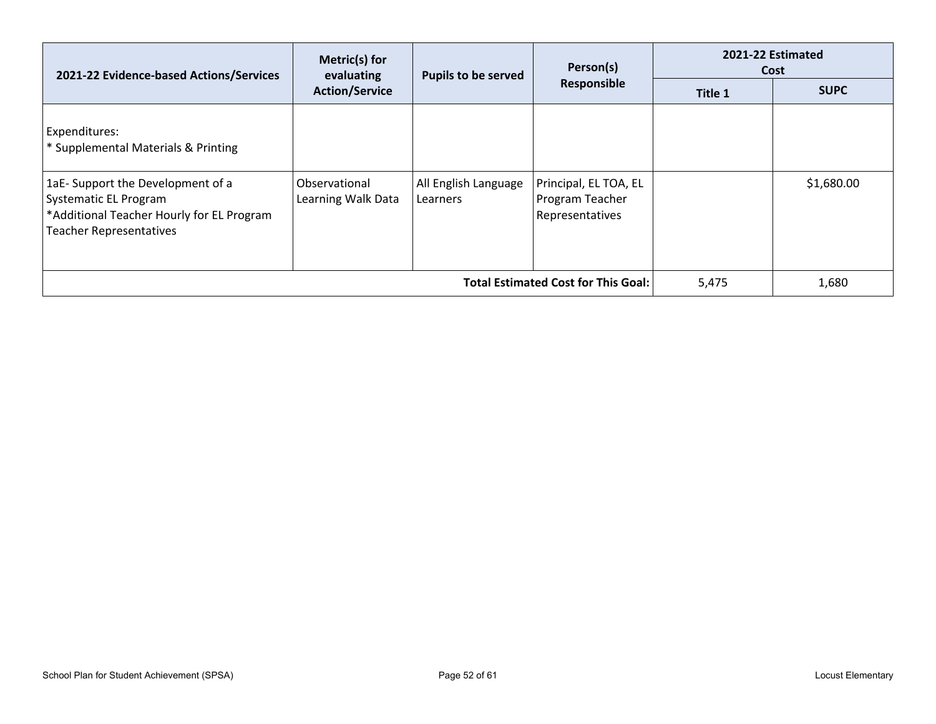|                                                                                                                                                 | Metric(s) for<br>Person(s)<br>2021-22 Evidence-based Actions/Services<br><b>Pupils to be served</b><br>evaluating<br>Responsible<br><b>Action/Service</b> |                                  |                                                             | 2021-22 Estimated<br>Cost |            |
|-------------------------------------------------------------------------------------------------------------------------------------------------|-----------------------------------------------------------------------------------------------------------------------------------------------------------|----------------------------------|-------------------------------------------------------------|---------------------------|------------|
|                                                                                                                                                 |                                                                                                                                                           | Title 1                          | <b>SUPC</b>                                                 |                           |            |
| Expenditures:<br>* Supplemental Materials & Printing                                                                                            |                                                                                                                                                           |                                  |                                                             |                           |            |
| 1aE-Support the Development of a<br><b>Systematic EL Program</b><br>*Additional Teacher Hourly for EL Program<br><b>Teacher Representatives</b> | Observational<br>Learning Walk Data                                                                                                                       | All English Language<br>Learners | Principal, EL TOA, EL<br>Program Teacher<br>Representatives |                           | \$1,680.00 |
|                                                                                                                                                 | 5,475                                                                                                                                                     | 1,680                            |                                                             |                           |            |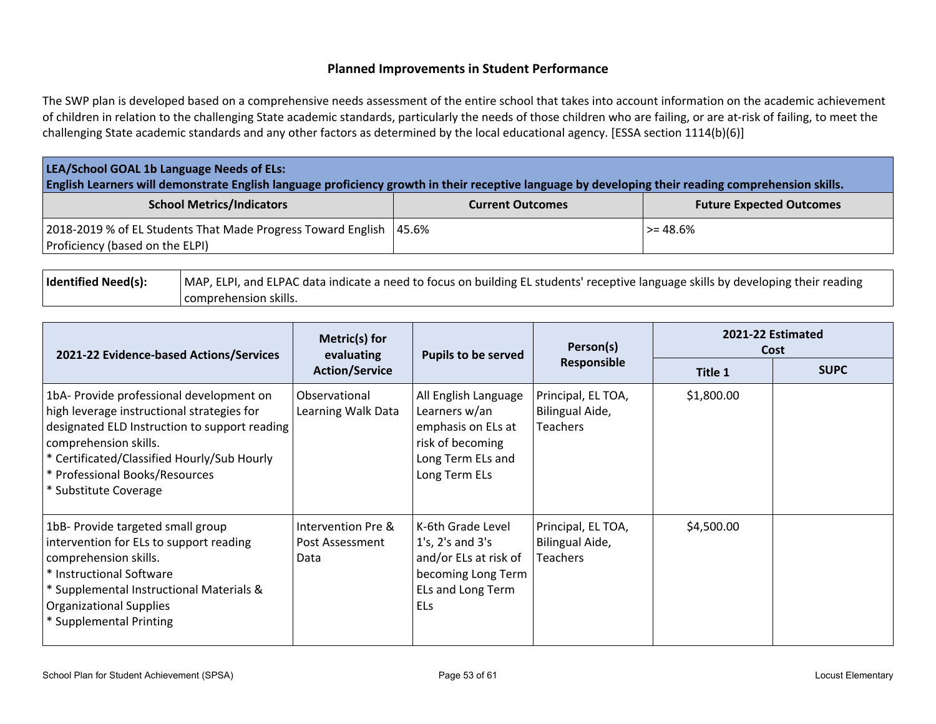#### **Planned Improvements in Student Performance**

The SWP plan is developed based on a comprehensive needs assessment of the entire school that takes into account information on the academic achievement of children in relation to the challenging State academic standards, particularly the needs of those children who are failing, or are at-risk of failing, to meet the challenging State academic standards and any other factors as determined by the local educational agency. [ESSA section 1114(b)(6)]

| LEA/School GOAL 1b Language Needs of ELs:<br>English Learners will demonstrate English language proficiency growth in their receptive language by developing their reading comprehension skills. |                         |                                 |  |  |  |  |
|--------------------------------------------------------------------------------------------------------------------------------------------------------------------------------------------------|-------------------------|---------------------------------|--|--|--|--|
| <b>School Metrics/Indicators</b>                                                                                                                                                                 | <b>Current Outcomes</b> | <b>Future Expected Outcomes</b> |  |  |  |  |
| 2018-2019 % of EL Students That Made Progress Toward English<br>Proficiency (based on the ELPI)                                                                                                  | 45.6%                   | >= 48.6%                        |  |  |  |  |

| Identified Need(s): | MAP, ELPI, and ELPAC data indicate a need to focus on building EL students' receptive language skills by developing their reading |
|---------------------|-----------------------------------------------------------------------------------------------------------------------------------|
|                     | comprehension skills.                                                                                                             |

| 2021-22 Evidence-based Actions/Services                                                                                                                                                                                                                                    | Metric(s) for<br>evaluating                   | <b>Pupils to be served</b>                                                                                              | Person(s)                                                | 2021-22 Estimated<br>Cost |             |
|----------------------------------------------------------------------------------------------------------------------------------------------------------------------------------------------------------------------------------------------------------------------------|-----------------------------------------------|-------------------------------------------------------------------------------------------------------------------------|----------------------------------------------------------|---------------------------|-------------|
|                                                                                                                                                                                                                                                                            | <b>Action/Service</b>                         |                                                                                                                         | Responsible                                              | Title 1                   | <b>SUPC</b> |
| 1bA- Provide professional development on<br>high leverage instructional strategies for<br>designated ELD Instruction to support reading<br>comprehension skills.<br>* Certificated/Classified Hourly/Sub Hourly<br>* Professional Books/Resources<br>* Substitute Coverage | Observational<br>Learning Walk Data           | All English Language<br>Learners w/an<br>emphasis on ELs at<br>risk of becoming<br>Long Term ELs and<br>Long Term ELs   | Principal, EL TOA,<br>Bilingual Aide,<br><b>Teachers</b> | \$1,800.00                |             |
| 1bB- Provide targeted small group<br>intervention for ELs to support reading<br>comprehension skills.<br>* Instructional Software<br>* Supplemental Instructional Materials &<br><b>Organizational Supplies</b><br>* Supplemental Printing                                 | Intervention Pre &<br>Post Assessment<br>Data | K-6th Grade Level<br>$1's$ , $2's$ and $3's$<br>and/or ELs at risk of<br>becoming Long Term<br>ELs and Long Term<br>ELs | Principal, EL TOA,<br>Bilingual Aide,<br><b>Teachers</b> | \$4,500.00                |             |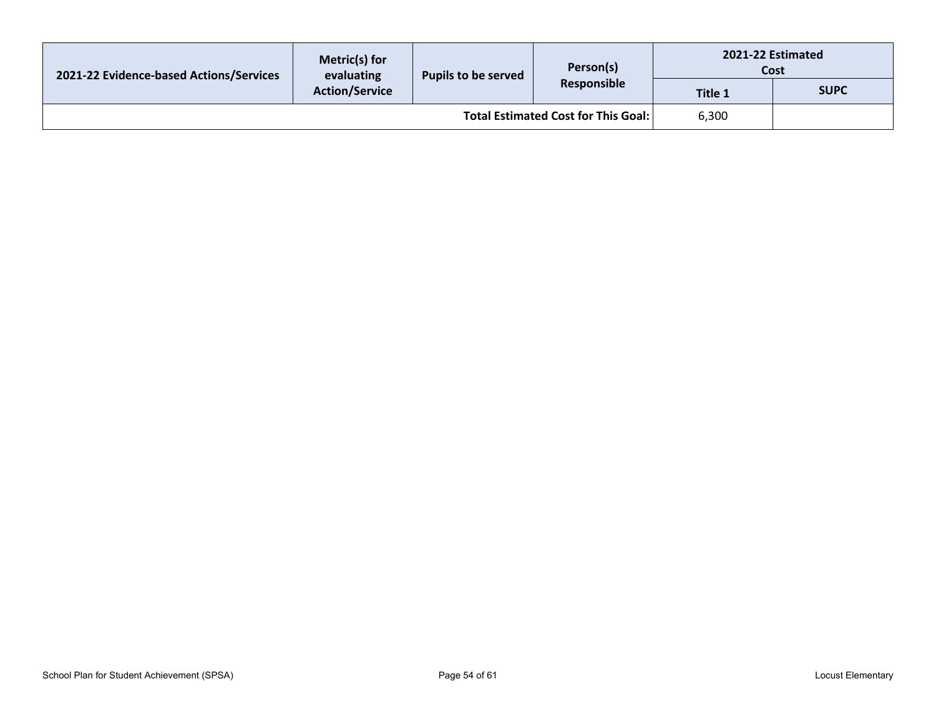| 2021-22 Evidence-based Actions/Services | Metric(s) for<br>evaluating<br>Pupils to be served<br><b>Action/Service</b> | Person(s)<br>Responsible | 2021-22 Estimated<br>Cost |             |  |
|-----------------------------------------|-----------------------------------------------------------------------------|--------------------------|---------------------------|-------------|--|
|                                         |                                                                             |                          | <b>Title 1</b>            | <b>SUPC</b> |  |
| Total Estimated Cost for This Goal:     |                                                                             |                          |                           | 6,300       |  |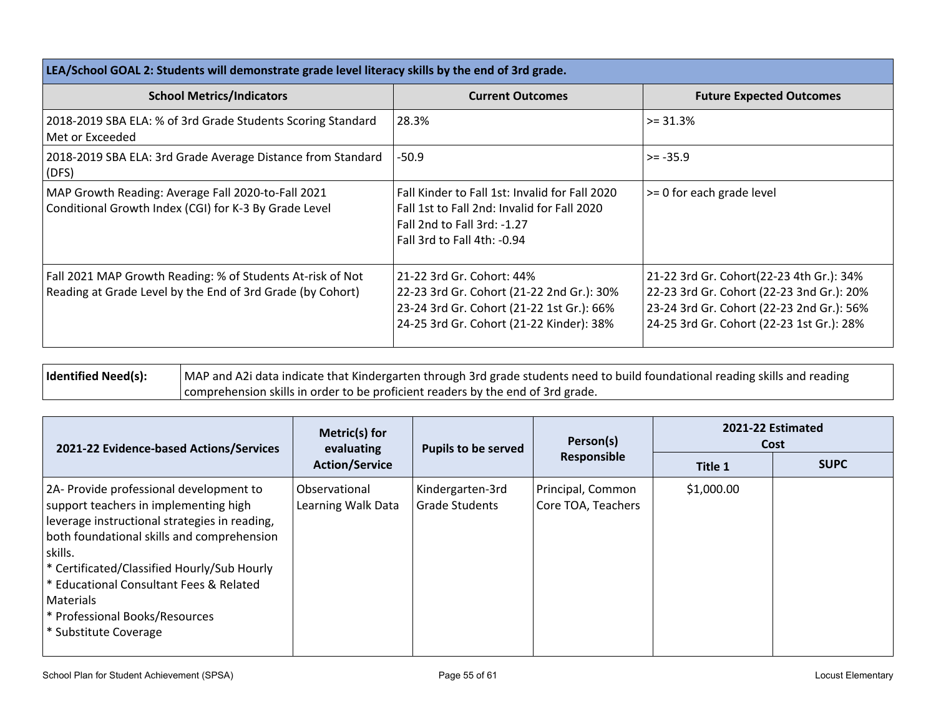| LEA/School GOAL 2: Students will demonstrate grade level literacy skills by the end of 3rd grade.                        |                                                                                                                                                                 |                                                                                                                                                                                 |  |  |  |  |
|--------------------------------------------------------------------------------------------------------------------------|-----------------------------------------------------------------------------------------------------------------------------------------------------------------|---------------------------------------------------------------------------------------------------------------------------------------------------------------------------------|--|--|--|--|
| <b>School Metrics/Indicators</b>                                                                                         | <b>Current Outcomes</b>                                                                                                                                         | <b>Future Expected Outcomes</b>                                                                                                                                                 |  |  |  |  |
| 2018-2019 SBA ELA: % of 3rd Grade Students Scoring Standard<br>Met or Exceeded                                           | 28.3%                                                                                                                                                           | $>= 31.3%$                                                                                                                                                                      |  |  |  |  |
| 2018-2019 SBA ELA: 3rd Grade Average Distance from Standard<br>(DFS)                                                     | $-50.9$                                                                                                                                                         | $>= -35.9$                                                                                                                                                                      |  |  |  |  |
| MAP Growth Reading: Average Fall 2020-to-Fall 2021<br>Conditional Growth Index (CGI) for K-3 By Grade Level              | Fall Kinder to Fall 1st: Invalid for Fall 2020<br>Fall 1st to Fall 2nd: Invalid for Fall 2020<br>Fall 2nd to Fall 3rd: -1.27<br>Fall 3rd to Fall 4th: -0.94     | $\geq$ 0 for each grade level                                                                                                                                                   |  |  |  |  |
| Fall 2021 MAP Growth Reading: % of Students At-risk of Not<br>Reading at Grade Level by the End of 3rd Grade (by Cohort) | 21-22 3rd Gr. Cohort: 44%<br>22-23 3rd Gr. Cohort (21-22 2nd Gr.): 30%<br>23-24 3rd Gr. Cohort (21-22 1st Gr.): 66%<br>24-25 3rd Gr. Cohort (21-22 Kinder): 38% | 21-22 3rd Gr. Cohort(22-23 4th Gr.): 34%<br>22-23 3rd Gr. Cohort (22-23 3nd Gr.): 20%<br>23-24 3rd Gr. Cohort (22-23 2nd Gr.): 56%<br>24-25 3rd Gr. Cohort (22-23 1st Gr.): 28% |  |  |  |  |

| <b>Identified Need(s):</b> | MAP and A2i data indicate that Kindergarten through 3rd grade students need to build foundational reading skills and reading |
|----------------------------|------------------------------------------------------------------------------------------------------------------------------|
|                            | comprehension skills in order to be proficient readers by the end of 3rd grade.                                              |

| 2021-22 Evidence-based Actions/Services                                                                                                                                                                                                                                                                                                                      | Metric(s) for<br>evaluating         | <b>Pupils to be served</b>                | Person(s)                               | 2021-22 Estimated<br>Cost |             |
|--------------------------------------------------------------------------------------------------------------------------------------------------------------------------------------------------------------------------------------------------------------------------------------------------------------------------------------------------------------|-------------------------------------|-------------------------------------------|-----------------------------------------|---------------------------|-------------|
|                                                                                                                                                                                                                                                                                                                                                              | <b>Action/Service</b>               |                                           | Responsible                             | Title 1                   | <b>SUPC</b> |
| 2A- Provide professional development to<br>support teachers in implementing high<br>leverage instructional strategies in reading,<br>both foundational skills and comprehension<br>skills.<br>* Certificated/Classified Hourly/Sub Hourly<br>* Educational Consultant Fees & Related<br>Materials<br>* Professional Books/Resources<br>* Substitute Coverage | Observational<br>Learning Walk Data | Kindergarten-3rd<br><b>Grade Students</b> | Principal, Common<br>Core TOA, Teachers | \$1,000.00                |             |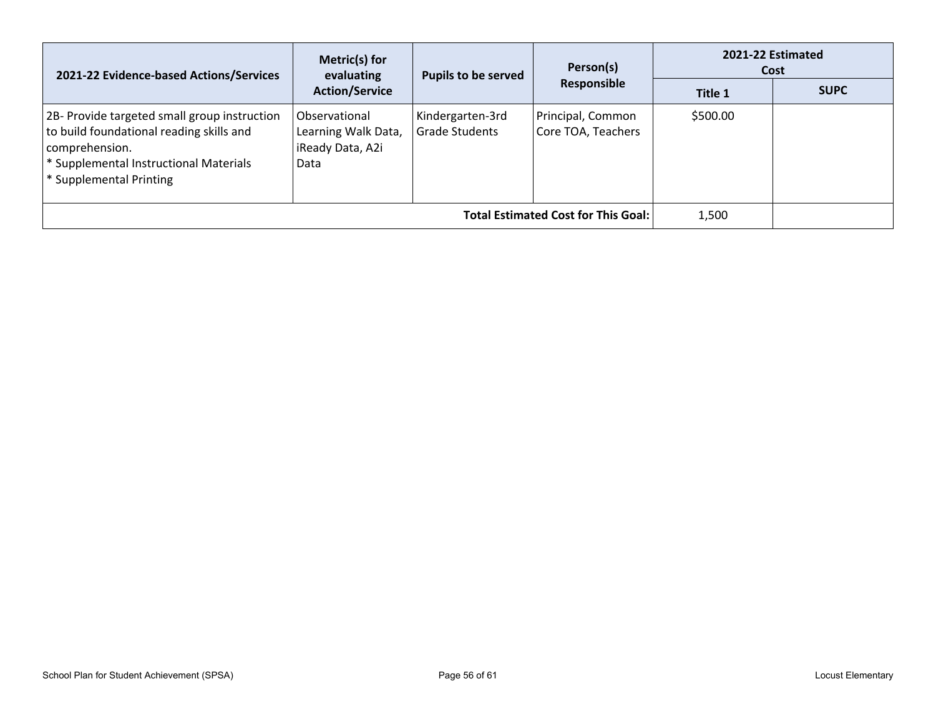| 2021-22 Evidence-based Actions/Services                                                                                                                                         | Metric(s) for<br><b>Pupils to be served</b><br>evaluating        | Person(s)                                 | 2021-22 Estimated<br>Cost               |          |             |
|---------------------------------------------------------------------------------------------------------------------------------------------------------------------------------|------------------------------------------------------------------|-------------------------------------------|-----------------------------------------|----------|-------------|
|                                                                                                                                                                                 | <b>Action/Service</b>                                            |                                           | Responsible                             | Title 1  | <b>SUPC</b> |
| 2B- Provide targeted small group instruction<br>to build foundational reading skills and<br>comprehension.<br>* Supplemental Instructional Materials<br>* Supplemental Printing | Observational<br>Learning Walk Data,<br>iReady Data, A2i<br>Data | Kindergarten-3rd<br><b>Grade Students</b> | Principal, Common<br>Core TOA, Teachers | \$500.00 |             |
| <b>Total Estimated Cost for This Goal:</b>                                                                                                                                      |                                                                  |                                           |                                         | 1,500    |             |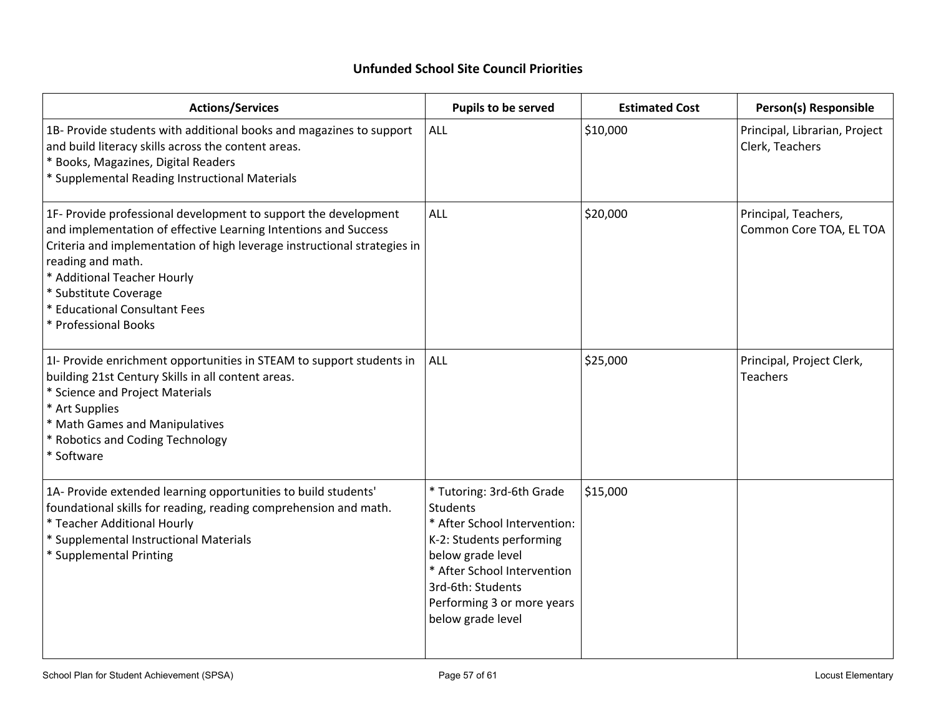# **Unfunded School Site Council Priorities**

| <b>Actions/Services</b>                                                                                                                                                                                                                                                                                                                              | Pupils to be served                                                                                                                                                                                                                  | <b>Estimated Cost</b> | Person(s) Responsible                            |
|------------------------------------------------------------------------------------------------------------------------------------------------------------------------------------------------------------------------------------------------------------------------------------------------------------------------------------------------------|--------------------------------------------------------------------------------------------------------------------------------------------------------------------------------------------------------------------------------------|-----------------------|--------------------------------------------------|
| 1B- Provide students with additional books and magazines to support<br>and build literacy skills across the content areas.<br>* Books, Magazines, Digital Readers<br>* Supplemental Reading Instructional Materials                                                                                                                                  | ALL                                                                                                                                                                                                                                  | \$10,000              | Principal, Librarian, Project<br>Clerk, Teachers |
| 1F- Provide professional development to support the development<br>and implementation of effective Learning Intentions and Success<br>Criteria and implementation of high leverage instructional strategies in<br>reading and math.<br>* Additional Teacher Hourly<br>* Substitute Coverage<br>* Educational Consultant Fees<br>* Professional Books | <b>ALL</b>                                                                                                                                                                                                                           | \$20,000              | Principal, Teachers,<br>Common Core TOA, EL TOA  |
| 1- Provide enrichment opportunities in STEAM to support students in<br>building 21st Century Skills in all content areas.<br>* Science and Project Materials<br>* Art Supplies<br>* Math Games and Manipulatives<br>* Robotics and Coding Technology<br>* Software                                                                                   | ALL                                                                                                                                                                                                                                  | \$25,000              | Principal, Project Clerk,<br><b>Teachers</b>     |
| 1A- Provide extended learning opportunities to build students'<br>foundational skills for reading, reading comprehension and math.<br>* Teacher Additional Hourly<br>* Supplemental Instructional Materials<br>* Supplemental Printing                                                                                                               | * Tutoring: 3rd-6th Grade<br><b>Students</b><br>* After School Intervention:<br>K-2: Students performing<br>below grade level<br>* After School Intervention<br>3rd-6th: Students<br>Performing 3 or more years<br>below grade level | \$15,000              |                                                  |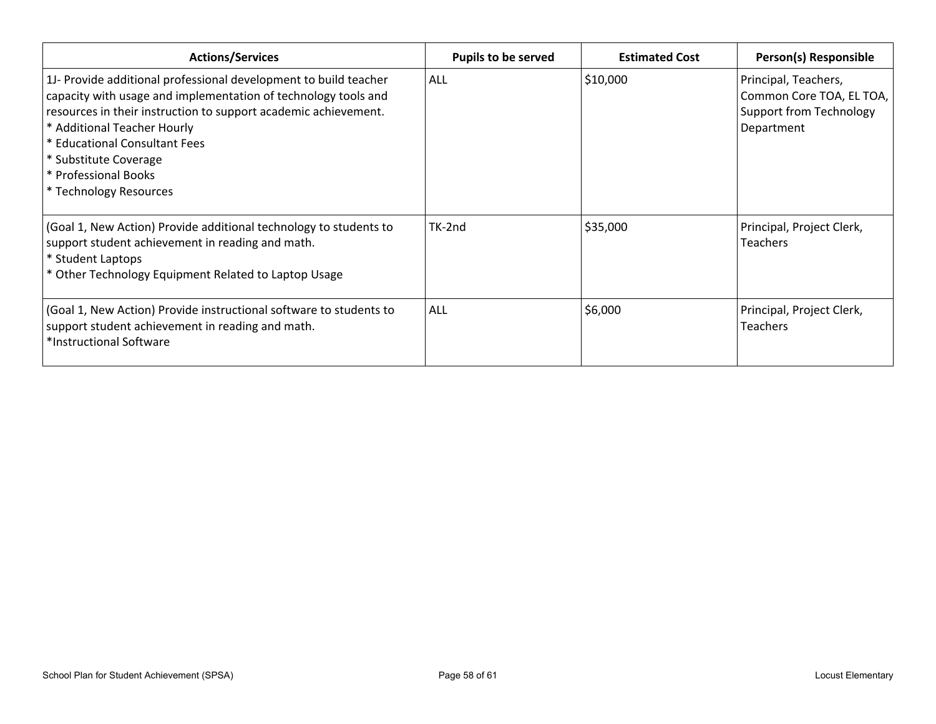| <b>Actions/Services</b>                                                                                                                                                                                                                                                                                                                          | <b>Pupils to be served</b> | <b>Estimated Cost</b> | Person(s) Responsible                                                                            |
|--------------------------------------------------------------------------------------------------------------------------------------------------------------------------------------------------------------------------------------------------------------------------------------------------------------------------------------------------|----------------------------|-----------------------|--------------------------------------------------------------------------------------------------|
| 1J- Provide additional professional development to build teacher<br>capacity with usage and implementation of technology tools and<br>resources in their instruction to support academic achievement.<br>* Additional Teacher Hourly<br>* Educational Consultant Fees<br>* Substitute Coverage<br>* Professional Books<br>* Technology Resources | <b>ALL</b>                 | \$10,000              | Principal, Teachers,<br>Common Core TOA, EL TOA,<br><b>Support from Technology</b><br>Department |
| (Goal 1, New Action) Provide additional technology to students to<br>support student achievement in reading and math.<br>* Student Laptops<br>* Other Technology Equipment Related to Laptop Usage                                                                                                                                               | TK-2nd                     | \$35,000              | Principal, Project Clerk,<br><b>Teachers</b>                                                     |
| (Goal 1, New Action) Provide instructional software to students to<br>support student achievement in reading and math.<br>*Instructional Software                                                                                                                                                                                                | ALL                        | \$6,000               | Principal, Project Clerk,<br><b>Teachers</b>                                                     |